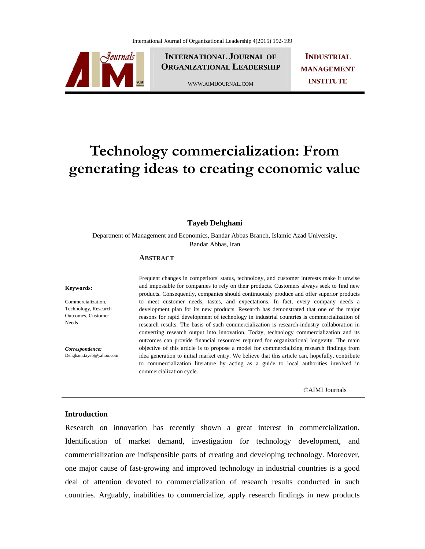

**INTERNATIONAL JOURNAL OF ORGANIZATIONAL LEADERSHIP**

WWW.AIMIJOURNAL.COM

**INDUSTRIAL MANAGEMENT INSTITUTE**

# **Technology commercialization: From generating ideas to creating economic value**

# **Tayeb Dehghani**

Department of Management and Economics, Bandar Abbas Branch, Islamic Azad University, Bandar Abbas, Iran

#### **ABSTRACT**

#### **Keywords:**

Commercialization, Technology, Research Outcomes, Customer Needs

*Correspondence:*  Dehghani.tayeb@yahoo.com Frequent changes in competitors' status, technology, and customer interests make it unwise and impossible for companies to rely on their products. Customers always seek to find new products. Consequently, companies should continuously produce and offer superior products to meet customer needs, tastes, and expectations. In fact, every company needs a development plan for its new products. Research has demonstrated that one of the major reasons for rapid development of technology in industrial countries is commercialization of research results. The basis of such commercialization is research-industry collaboration in converting research output into innovation. Today, technology commercialization and its outcomes can provide financial resources required for organizational longevity. The main objective of this article is to propose a model for commercializing research findings from idea generation to initial market entry. We believe that this article can, hopefully, contribute to commercialization literature by acting as a guide to local authorities involved in commercialization cycle.

©AIMI Journals

# **Introduction**

Research on innovation has recently shown a great interest in commercialization. Identification of market demand, investigation for technology development, and commercialization are indispensible parts of creating and developing technology. Moreover, one major cause of fast-growing and improved technology in industrial countries is a good deal of attention devoted to commercialization of research results conducted in such countries. Arguably, inabilities to commercialize, apply research findings in new products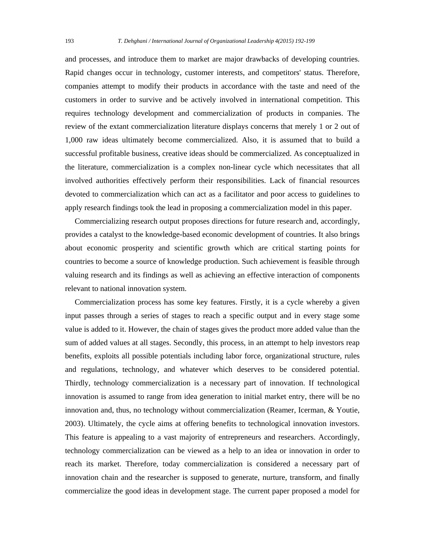and processes, and introduce them to market are major drawbacks of developing countries. Rapid changes occur in technology, customer interests, and competitors' status. Therefore, companies attempt to modify their products in accordance with the taste and need of the customers in order to survive and be actively involved in international competition. This requires technology development and commercialization of products in companies. The review of the extant commercialization literature displays concerns that merely 1 or 2 out of 1,000 raw ideas ultimately become commercialized. Also, it is assumed that to build a successful profitable business, creative ideas should be commercialized. As conceptualized in the literature, commercialization is a complex non-linear cycle which necessitates that all involved authorities effectively perform their responsibilities. Lack of financial resources devoted to commercialization which can act as a facilitator and poor access to guidelines to apply research findings took the lead in proposing a commercialization model in this paper.

 Commercializing research output proposes directions for future research and, accordingly, provides a catalyst to the knowledge-based economic development of countries. It also brings about economic prosperity and scientific growth which are critical starting points for countries to become a source of knowledge production. Such achievement is feasible through valuing research and its findings as well as achieving an effective interaction of components relevant to national innovation system.

 Commercialization process has some key features. Firstly, it is a cycle whereby a given input passes through a series of stages to reach a specific output and in every stage some value is added to it. However, the chain of stages gives the product more added value than the sum of added values at all stages. Secondly, this process, in an attempt to help investors reap benefits, exploits all possible potentials including labor force, organizational structure, rules and regulations, technology, and whatever which deserves to be considered potential. Thirdly, technology commercialization is a necessary part of innovation. If technological innovation is assumed to range from idea generation to initial market entry, there will be no innovation and, thus, no technology without commercialization (Reamer, Icerman, & Youtie, 2003). Ultimately, the cycle aims at offering benefits to technological innovation investors. This feature is appealing to a vast majority of entrepreneurs and researchers. Accordingly, technology commercialization can be viewed as a help to an idea or innovation in order to reach its market. Therefore, today commercialization is considered a necessary part of innovation chain and the researcher is supposed to generate, nurture, transform, and finally commercialize the good ideas in development stage. The current paper proposed a model for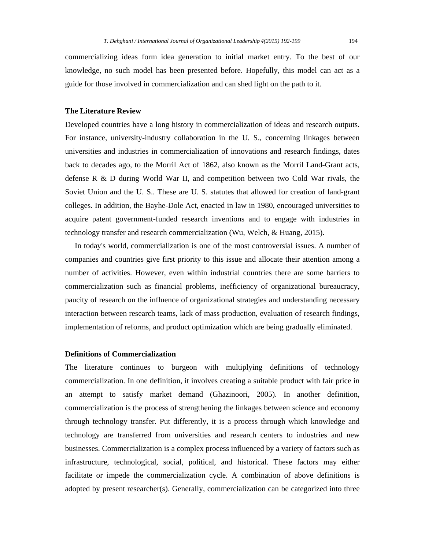commercializing ideas form idea generation to initial market entry. To the best of our knowledge, no such model has been presented before. Hopefully, this model can act as a guide for those involved in commercialization and can shed light on the path to it.

# **The Literature Review**

Developed countries have a long history in commercialization of ideas and research outputs. For instance, university-industry collaboration in the U. S., concerning linkages between universities and industries in commercialization of innovations and research findings, dates back to decades ago, to the Morril Act of 1862, also known as the Morril Land-Grant acts, defense R & D during World War II, and competition between two Cold War rivals, the Soviet Union and the U. S.. These are U. S. statutes that allowed for creation of land-grant colleges. In addition, the Bayhe-Dole Act, enacted in law in 1980, encouraged universities to acquire patent government-funded research inventions and to engage with industries in technology transfer and research commercialization (Wu, Welch, & Huang, 2015).

 In today's world, commercialization is one of the most controversial issues. A number of companies and countries give first priority to this issue and allocate their attention among a number of activities. However, even within industrial countries there are some barriers to commercialization such as financial problems, inefficiency of organizational bureaucracy, paucity of research on the influence of organizational strategies and understanding necessary interaction between research teams, lack of mass production, evaluation of research findings, implementation of reforms, and product optimization which are being gradually eliminated.

# **Definitions of Commercialization**

The literature continues to burgeon with multiplying definitions of technology commercialization. In one definition, it involves creating a suitable product with fair price in an attempt to satisfy market demand (Ghazinoori, 2005). In another definition, commercialization is the process of strengthening the linkages between science and economy through technology transfer. Put differently, it is a process through which knowledge and technology are transferred from universities and research centers to industries and new businesses. Commercialization is a complex process influenced by a variety of factors such as infrastructure, technological, social, political, and historical. These factors may either facilitate or impede the commercialization cycle. A combination of above definitions is adopted by present researcher(s). Generally, commercialization can be categorized into three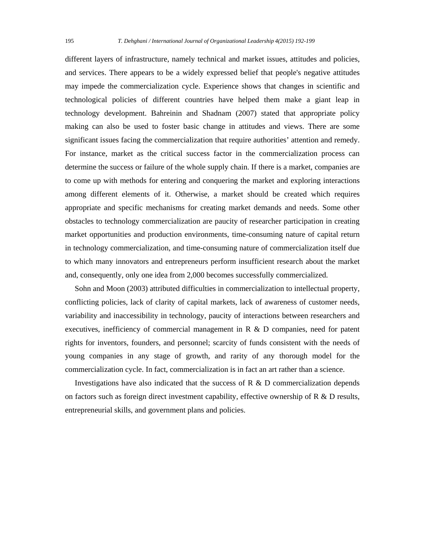different layers of infrastructure, namely technical and market issues, attitudes and policies, and services. There appears to be a widely expressed belief that people's negative attitudes may impede the commercialization cycle. Experience shows that changes in scientific and technological policies of different countries have helped them make a giant leap in technology development. Bahreinin and Shadnam (2007) stated that appropriate policy making can also be used to foster basic change in attitudes and views. There are some significant issues facing the commercialization that require authorities' attention and remedy. For instance, market as the critical success factor in the commercialization process can determine the success or failure of the whole supply chain. If there is a market, companies are to come up with methods for entering and conquering the market and exploring interactions among different elements of it. Otherwise, a market should be created which requires appropriate and specific mechanisms for creating market demands and needs. Some other obstacles to technology commercialization are paucity of researcher participation in creating market opportunities and production environments, time-consuming nature of capital return in technology commercialization, and time-consuming nature of commercialization itself due to which many innovators and entrepreneurs perform insufficient research about the market and, consequently, only one idea from 2,000 becomes successfully commercialized.

 Sohn and Moon (2003) attributed difficulties in commercialization to intellectual property, conflicting policies, lack of clarity of capital markets, lack of awareness of customer needs, variability and inaccessibility in technology, paucity of interactions between researchers and executives, inefficiency of commercial management in R & D companies, need for patent rights for inventors, founders, and personnel; scarcity of funds consistent with the needs of young companies in any stage of growth, and rarity of any thorough model for the commercialization cycle. In fact, commercialization is in fact an art rather than a science.

Investigations have also indicated that the success of  $R \& D$  commercialization depends on factors such as foreign direct investment capability, effective ownership of  $R \& D$  results, entrepreneurial skills, and government plans and policies.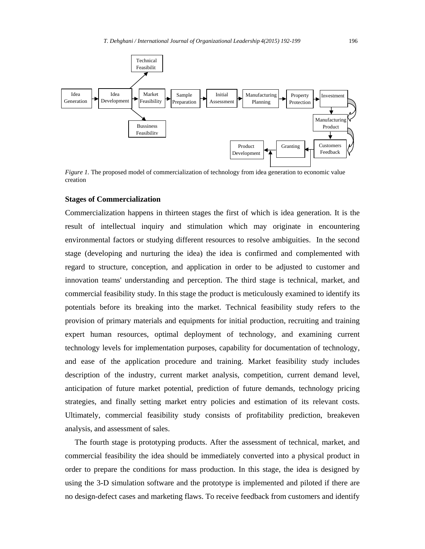

*Figure 1*. The proposed model of commercialization of technology from idea generation to economic value creation

#### **Stages of Commercialization**

Commercialization happens in thirteen stages the first of which is idea generation. It is the result of intellectual inquiry and stimulation which may originate in encountering environmental factors or studying different resources to resolve ambiguities. In the second stage (developing and nurturing the idea) the idea is confirmed and complemented with regard to structure, conception, and application in order to be adjusted to customer and innovation teams' understanding and perception. The third stage is technical, market, and commercial feasibility study. In this stage the product is meticulously examined to identify its potentials before its breaking into the market. Technical feasibility study refers to the provision of primary materials and equipments for initial production, recruiting and training expert human resources, optimal deployment of technology, and examining current technology levels for implementation purposes, capability for documentation of technology, and ease of the application procedure and training. Market feasibility study includes description of the industry, current market analysis, competition, current demand level, anticipation of future market potential, prediction of future demands, technology pricing strategies, and finally setting market entry policies and estimation of its relevant costs. Ultimately, commercial feasibility study consists of profitability prediction, breakeven analysis, and assessment of sales.

 The fourth stage is prototyping products. After the assessment of technical, market, and commercial feasibility the idea should be immediately converted into a physical product in order to prepare the conditions for mass production. In this stage, the idea is designed by using the 3-D simulation software and the prototype is implemented and piloted if there are no design-defect cases and marketing flaws. To receive feedback from customers and identify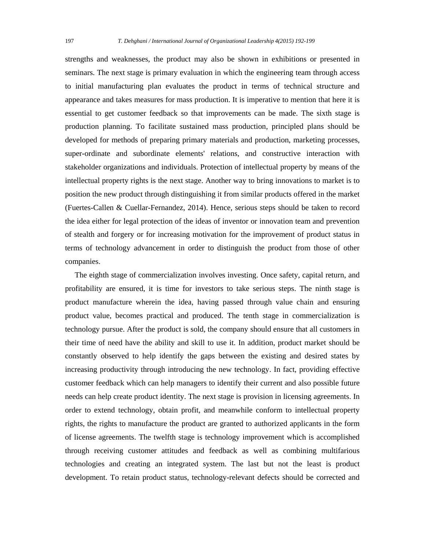strengths and weaknesses, the product may also be shown in exhibitions or presented in seminars. The next stage is primary evaluation in which the engineering team through access to initial manufacturing plan evaluates the product in terms of technical structure and appearance and takes measures for mass production. It is imperative to mention that here it is essential to get customer feedback so that improvements can be made. The sixth stage is production planning. To facilitate sustained mass production, principled plans should be developed for methods of preparing primary materials and production, marketing processes, super-ordinate and subordinate elements' relations, and constructive interaction with stakeholder organizations and individuals. Protection of intellectual property by means of the intellectual property rights is the next stage. Another way to bring innovations to market is to position the new product through distinguishing it from similar products offered in the market (Fuertes-Callen & Cuellar-Fernandez, 2014). Hence, serious steps should be taken to record the idea either for legal protection of the ideas of inventor or innovation team and prevention of stealth and forgery or for increasing motivation for the improvement of product status in terms of technology advancement in order to distinguish the product from those of other companies.

 The eighth stage of commercialization involves investing. Once safety, capital return, and profitability are ensured, it is time for investors to take serious steps. The ninth stage is product manufacture wherein the idea, having passed through value chain and ensuring product value, becomes practical and produced. The tenth stage in commercialization is technology pursue. After the product is sold, the company should ensure that all customers in their time of need have the ability and skill to use it. In addition, product market should be constantly observed to help identify the gaps between the existing and desired states by increasing productivity through introducing the new technology. In fact, providing effective customer feedback which can help managers to identify their current and also possible future needs can help create product identity. The next stage is provision in licensing agreements. In order to extend technology, obtain profit, and meanwhile conform to intellectual property rights, the rights to manufacture the product are granted to authorized applicants in the form of license agreements. The twelfth stage is technology improvement which is accomplished through receiving customer attitudes and feedback as well as combining multifarious technologies and creating an integrated system. The last but not the least is product development. To retain product status, technology-relevant defects should be corrected and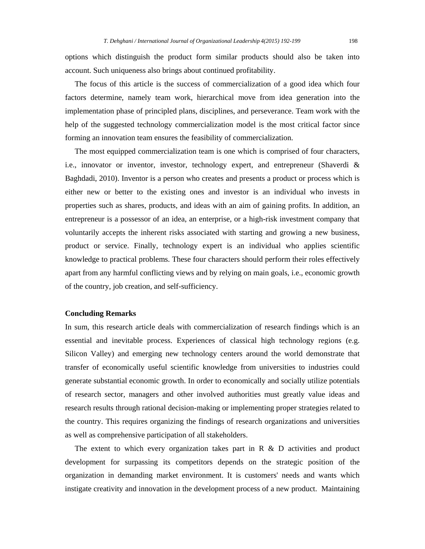options which distinguish the product form similar products should also be taken into account. Such uniqueness also brings about continued profitability.

 The focus of this article is the success of commercialization of a good idea which four factors determine, namely team work, hierarchical move from idea generation into the implementation phase of principled plans, disciplines, and perseverance. Team work with the help of the suggested technology commercialization model is the most critical factor since forming an innovation team ensures the feasibility of commercialization.

 The most equipped commercialization team is one which is comprised of four characters, i.e., innovator or inventor, investor, technology expert, and entrepreneur (Shaverdi & Baghdadi, 2010). Inventor is a person who creates and presents a product or process which is either new or better to the existing ones and investor is an individual who invests in properties such as shares, products, and ideas with an aim of gaining profits. In addition, an entrepreneur is a possessor of an idea, an enterprise, or a high-risk investment company that voluntarily accepts the inherent risks associated with starting and growing a new business, product or service. Finally, technology expert is an individual who applies scientific knowledge to practical problems. These four characters should perform their roles effectively apart from any harmful conflicting views and by relying on main goals, i.e., economic growth of the country, job creation, and self-sufficiency.

### **Concluding Remarks**

In sum, this research article deals with commercialization of research findings which is an essential and inevitable process. Experiences of classical high technology regions (e.g. Silicon Valley) and emerging new technology centers around the world demonstrate that transfer of economically useful scientific knowledge from universities to industries could generate substantial economic growth. In order to economically and socially utilize potentials of research sector, managers and other involved authorities must greatly value ideas and research results through rational decision-making or implementing proper strategies related to the country. This requires organizing the findings of research organizations and universities as well as comprehensive participation of all stakeholders.

 The extent to which every organization takes part in R & D activities and product development for surpassing its competitors depends on the strategic position of the organization in demanding market environment. It is customers' needs and wants which instigate creativity and innovation in the development process of a new product. Maintaining